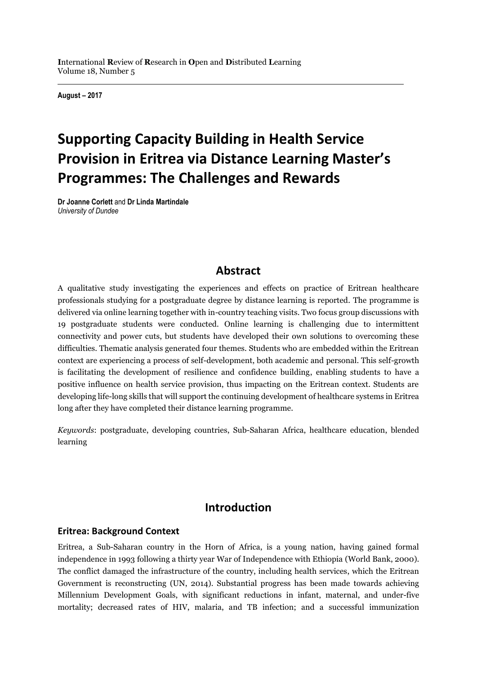**I**nternational **R**eview of **R**esearch in **O**pen and **D**istributed **L**earning Volume 18, Number 5

**August – 2017**

# **Supporting Capacity Building in Health Service Provision in Eritrea via Distance Learning Master's Programmes: The Challenges and Rewards**

**Dr Joanne Corlett** and **Dr Linda Martindale** *University of Dundee*

#### **Abstract**

A qualitative study investigating the experiences and effects on practice of Eritrean healthcare professionals studying for a postgraduate degree by distance learning is reported. The programme is delivered via online learning together with in-country teaching visits. Two focus group discussions with 19 postgraduate students were conducted. Online learning is challenging due to intermittent connectivity and power cuts, but students have developed their own solutions to overcoming these difficulties. Thematic analysis generated four themes. Students who are embedded within the Eritrean context are experiencing a process of self-development, both academic and personal. This self-growth is facilitating the development of resilience and confidence building, enabling students to have a positive influence on health service provision, thus impacting on the Eritrean context. Students are developing life-long skills that will support the continuing development of healthcare systems in Eritrea long after they have completed their distance learning programme.

*Keywords*: postgraduate, developing countries, Sub-Saharan Africa, healthcare education, blended learning

#### **Introduction**

#### **Eritrea: Background Context**

Eritrea, a Sub-Saharan country in the Horn of Africa, is a young nation, having gained formal independence in 1993 following a thirty year War of Independence with Ethiopia (World Bank, 2000). The conflict damaged the infrastructure of the country, including health services, which the Eritrean Government is reconstructing (UN, 2014). Substantial progress has been made towards achieving Millennium Development Goals, with significant reductions in infant, maternal, and under-five mortality; decreased rates of HIV, malaria, and TB infection; and a successful immunization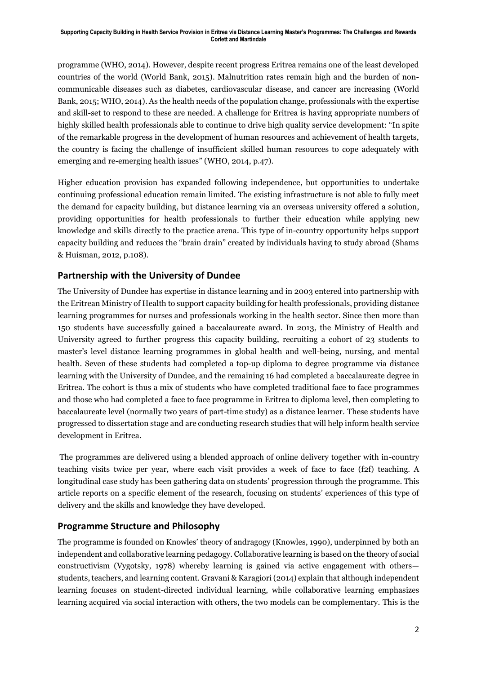programme (WHO, 2014). However, despite recent progress Eritrea remains one of the least developed countries of the world (World Bank, 2015). Malnutrition rates remain high and the burden of noncommunicable diseases such as diabetes, cardiovascular disease, and cancer are increasing (World Bank, 2015; WHO, 2014). As the health needs of the population change, professionals with the expertise and skill-set to respond to these are needed. A challenge for Eritrea is having appropriate numbers of highly skilled health professionals able to continue to drive high quality service development: "In spite of the remarkable progress in the development of human resources and achievement of health targets, the country is facing the challenge of insufficient skilled human resources to cope adequately with emerging and re-emerging health issues" (WHO, 2014, p.47).

Higher education provision has expanded following independence, but opportunities to undertake continuing professional education remain limited. The existing infrastructure is not able to fully meet the demand for capacity building, but distance learning via an overseas university offered a solution, providing opportunities for health professionals to further their education while applying new knowledge and skills directly to the practice arena. This type of in-country opportunity helps support capacity building and reduces the "brain drain" created by individuals having to study abroad (Shams & Huisman, 2012, p.108).

#### **Partnership with the University of Dundee**

The University of Dundee has expertise in distance learning and in 2003 entered into partnership with the Eritrean Ministry of Health to support capacity building for health professionals, providing distance learning programmes for nurses and professionals working in the health sector. Since then more than 150 students have successfully gained a baccalaureate award. In 2013, the Ministry of Health and University agreed to further progress this capacity building, recruiting a cohort of 23 students to master's level distance learning programmes in global health and well-being, nursing, and mental health. Seven of these students had completed a top-up diploma to degree programme via distance learning with the University of Dundee, and the remaining 16 had completed a baccalaureate degree in Eritrea. The cohort is thus a mix of students who have completed traditional face to face programmes and those who had completed a face to face programme in Eritrea to diploma level, then completing to baccalaureate level (normally two years of part-time study) as a distance learner. These students have progressed to dissertation stage and are conducting research studies that will help inform health service development in Eritrea.

The programmes are delivered using a blended approach of online delivery together with in-country teaching visits twice per year, where each visit provides a week of face to face (f2f) teaching. A longitudinal case study has been gathering data on students' progression through the programme. This article reports on a specific element of the research, focusing on students' experiences of this type of delivery and the skills and knowledge they have developed.

#### **Programme Structure and Philosophy**

The programme is founded on Knowles' theory of andragogy (Knowles, 1990), underpinned by both an independent and collaborative learning pedagogy. Collaborative learning is based on the theory of social constructivism (Vygotsky, 1978) whereby learning is gained via active engagement with others students, teachers, and learning content. Gravani & Karagiori (2014) explain that although independent learning focuses on student-directed individual learning, while collaborative learning emphasizes learning acquired via social interaction with others, the two models can be complementary. This is the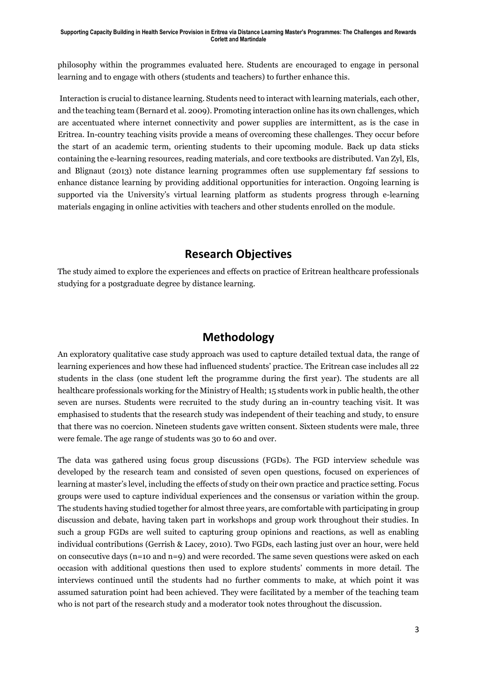philosophy within the programmes evaluated here. Students are encouraged to engage in personal learning and to engage with others (students and teachers) to further enhance this.

Interaction is crucial to distance learning. Students need to interact with learning materials, each other, and the teaching team (Bernard et al. 2009). Promoting interaction online has its own challenges, which are accentuated where internet connectivity and power supplies are intermittent, as is the case in Eritrea. In-country teaching visits provide a means of overcoming these challenges. They occur before the start of an academic term, orienting students to their upcoming module. Back up data sticks containing the e-learning resources, reading materials, and core textbooks are distributed. Van Zyl, Els, and Blignaut (2013) note distance learning programmes often use supplementary f2f sessions to enhance distance learning by providing additional opportunities for interaction. Ongoing learning is supported via the University's virtual learning platform as students progress through e-learning materials engaging in online activities with teachers and other students enrolled on the module.

## **Research Objectives**

The study aimed to explore the experiences and effects on practice of Eritrean healthcare professionals studying for a postgraduate degree by distance learning.

## **Methodology**

An exploratory qualitative case study approach was used to capture detailed textual data, the range of learning experiences and how these had influenced students' practice. The Eritrean case includes all 22 students in the class (one student left the programme during the first year). The students are all healthcare professionals working for the Ministry of Health; 15 students work in public health, the other seven are nurses. Students were recruited to the study during an in-country teaching visit. It was emphasised to students that the research study was independent of their teaching and study, to ensure that there was no coercion. Nineteen students gave written consent. Sixteen students were male, three were female. The age range of students was 30 to 60 and over.

The data was gathered using focus group discussions (FGDs). The FGD interview schedule was developed by the research team and consisted of seven open questions, focused on experiences of learning at master's level, including the effects of study on their own practice and practice setting. Focus groups were used to capture individual experiences and the consensus or variation within the group. The students having studied together for almost three years, are comfortable with participating in group discussion and debate, having taken part in workshops and group work throughout their studies. In such a group FGDs are well suited to capturing group opinions and reactions, as well as enabling individual contributions (Gerrish & Lacey, 2010). Two FGDs, each lasting just over an hour, were held on consecutive days ( $n=10$  and  $n=9$ ) and were recorded. The same seven questions were asked on each occasion with additional questions then used to explore students' comments in more detail. The interviews continued until the students had no further comments to make, at which point it was assumed saturation point had been achieved. They were facilitated by a member of the teaching team who is not part of the research study and a moderator took notes throughout the discussion.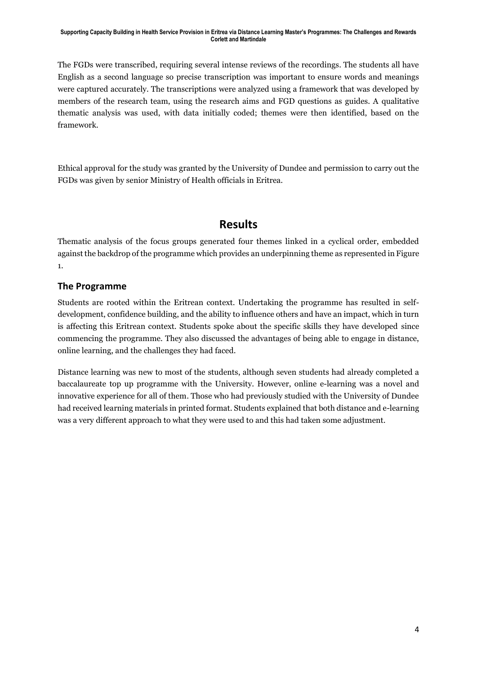The FGDs were transcribed, requiring several intense reviews of the recordings. The students all have English as a second language so precise transcription was important to ensure words and meanings were captured accurately. The transcriptions were analyzed using a framework that was developed by members of the research team, using the research aims and FGD questions as guides. A qualitative thematic analysis was used, with data initially coded; themes were then identified, based on the framework.

Ethical approval for the study was granted by the University of Dundee and permission to carry out the FGDs was given by senior Ministry of Health officials in Eritrea.

## **Results**

Thematic analysis of the focus groups generated four themes linked in a cyclical order, embedded against the backdrop of the programme which provides an underpinning theme as represented in Figure 1.

#### **The Programme**

Students are rooted within the Eritrean context. Undertaking the programme has resulted in selfdevelopment, confidence building, and the ability to influence others and have an impact, which in turn is affecting this Eritrean context. Students spoke about the specific skills they have developed since commencing the programme. They also discussed the advantages of being able to engage in distance, online learning, and the challenges they had faced.

Distance learning was new to most of the students, although seven students had already completed a baccalaureate top up programme with the University. However, online e-learning was a novel and innovative experience for all of them. Those who had previously studied with the University of Dundee had received learning materials in printed format. Students explained that both distance and e-learning was a very different approach to what they were used to and this had taken some adjustment.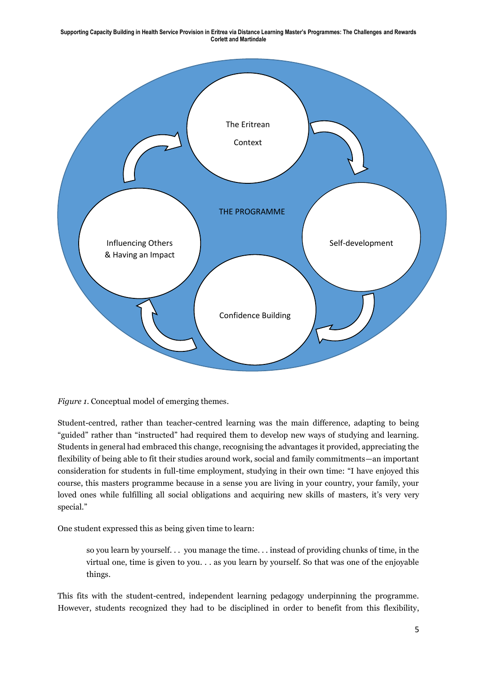**Supporting Capacity Building in Health Service Provision in Eritrea via Distance Learning Master's Programmes: The Challenges and Rewards Corlett and Martindale**



*Figure 1*. Conceptual model of emerging themes.

Student-centred, rather than teacher-centred learning was the main difference, adapting to being "guided" rather than "instructed" had required them to develop new ways of studying and learning. Students in general had embraced this change, recognising the advantages it provided, appreciating the flexibility of being able to fit their studies around work, social and family commitments—an important consideration for students in full-time employment, studying in their own time: "I have enjoyed this course, this masters programme because in a sense you are living in your country, your family, your loved ones while fulfilling all social obligations and acquiring new skills of masters, it's very very special."

One student expressed this as being given time to learn:

so you learn by yourself. . . you manage the time. . . instead of providing chunks of time, in the virtual one, time is given to you. . . as you learn by yourself. So that was one of the enjoyable things.

This fits with the student-centred, independent learning pedagogy underpinning the programme. However, students recognized they had to be disciplined in order to benefit from this flexibility,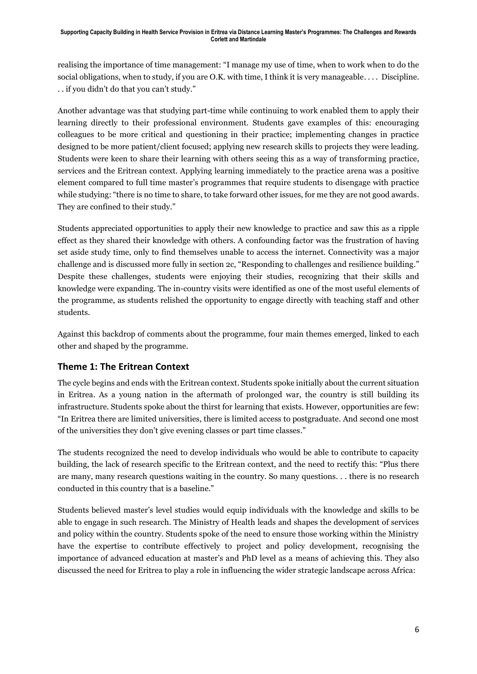realising the importance of time management: "I manage my use of time, when to work when to do the social obligations, when to study, if you are O.K. with time, I think it is very manageable. . . . Discipline. . . if you didn't do that you can't study."

Another advantage was that studying part-time while continuing to work enabled them to apply their learning directly to their professional environment. Students gave examples of this: encouraging colleagues to be more critical and questioning in their practice; implementing changes in practice designed to be more patient/client focused; applying new research skills to projects they were leading. Students were keen to share their learning with others seeing this as a way of transforming practice, services and the Eritrean context. Applying learning immediately to the practice arena was a positive element compared to full time master's programmes that require students to disengage with practice while studying: "there is no time to share, to take forward other issues, for me they are not good awards. They are confined to their study."

Students appreciated opportunities to apply their new knowledge to practice and saw this as a ripple effect as they shared their knowledge with others. A confounding factor was the frustration of having set aside study time, only to find themselves unable to access the internet. Connectivity was a major challenge and is discussed more fully in section 2c, "Responding to challenges and resilience building." Despite these challenges, students were enjoying their studies, recognizing that their skills and knowledge were expanding. The in-country visits were identified as one of the most useful elements of the programme, as students relished the opportunity to engage directly with teaching staff and other students.

Against this backdrop of comments about the programme, four main themes emerged, linked to each other and shaped by the programme.

#### **Theme 1: The Eritrean Context**

The cycle begins and ends with the Eritrean context. Students spoke initially about the current situation in Eritrea. As a young nation in the aftermath of prolonged war, the country is still building its infrastructure. Students spoke about the thirst for learning that exists. However, opportunities are few: "In Eritrea there are limited universities, there is limited access to postgraduate. And second one most of the universities they don't give evening classes or part time classes."

The students recognized the need to develop individuals who would be able to contribute to capacity building, the lack of research specific to the Eritrean context, and the need to rectify this: "Plus there are many, many research questions waiting in the country. So many questions. . . there is no research conducted in this country that is a baseline."

Students believed master's level studies would equip individuals with the knowledge and skills to be able to engage in such research. The Ministry of Health leads and shapes the development of services and policy within the country. Students spoke of the need to ensure those working within the Ministry have the expertise to contribute effectively to project and policy development, recognising the importance of advanced education at master's and PhD level as a means of achieving this. They also discussed the need for Eritrea to play a role in influencing the wider strategic landscape across Africa: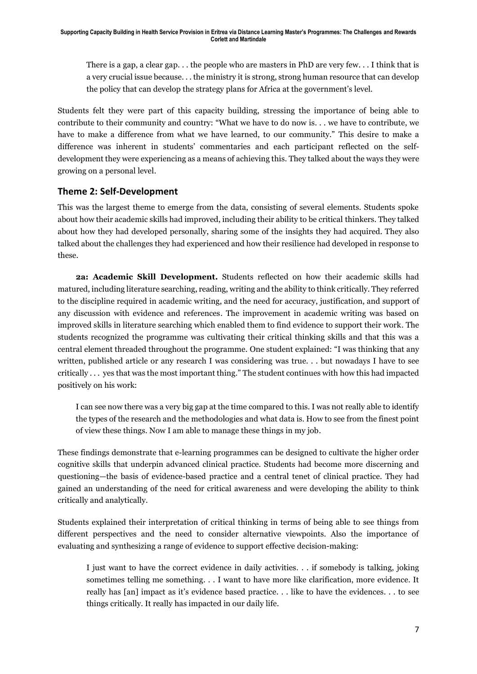There is a gap, a clear gap. . . the people who are masters in PhD are very few. . . I think that is a very crucial issue because. . . the ministry it is strong, strong human resource that can develop the policy that can develop the strategy plans for Africa at the government's level.

Students felt they were part of this capacity building, stressing the importance of being able to contribute to their community and country: "What we have to do now is. . . we have to contribute, we have to make a difference from what we have learned, to our community." This desire to make a difference was inherent in students' commentaries and each participant reflected on the selfdevelopment they were experiencing as a means of achieving this. They talked about the ways they were growing on a personal level.

#### **Theme 2: Self-Development**

This was the largest theme to emerge from the data, consisting of several elements. Students spoke about how their academic skills had improved, including their ability to be critical thinkers. They talked about how they had developed personally, sharing some of the insights they had acquired. They also talked about the challenges they had experienced and how their resilience had developed in response to these.

**2a: Academic Skill Development.** Students reflected on how their academic skills had matured, including literature searching, reading, writing and the ability to think critically. They referred to the discipline required in academic writing, and the need for accuracy, justification, and support of any discussion with evidence and references. The improvement in academic writing was based on improved skills in literature searching which enabled them to find evidence to support their work. The students recognized the programme was cultivating their critical thinking skills and that this was a central element threaded throughout the programme. One student explained: "I was thinking that any written, published article or any research I was considering was true. . . but nowadays I have to see critically . . . yes that was the most important thing." The student continues with how this had impacted positively on his work:

I can see now there was a very big gap at the time compared to this. I was not really able to identify the types of the research and the methodologies and what data is. How to see from the finest point of view these things. Now I am able to manage these things in my job.

These findings demonstrate that e-learning programmes can be designed to cultivate the higher order cognitive skills that underpin advanced clinical practice. Students had become more discerning and questioning—the basis of evidence-based practice and a central tenet of clinical practice. They had gained an understanding of the need for critical awareness and were developing the ability to think critically and analytically.

Students explained their interpretation of critical thinking in terms of being able to see things from different perspectives and the need to consider alternative viewpoints. Also the importance of evaluating and synthesizing a range of evidence to support effective decision-making:

I just want to have the correct evidence in daily activities. . . if somebody is talking, joking sometimes telling me something. . . I want to have more like clarification, more evidence. It really has [an] impact as it's evidence based practice. . . like to have the evidences. . . to see things critically. It really has impacted in our daily life.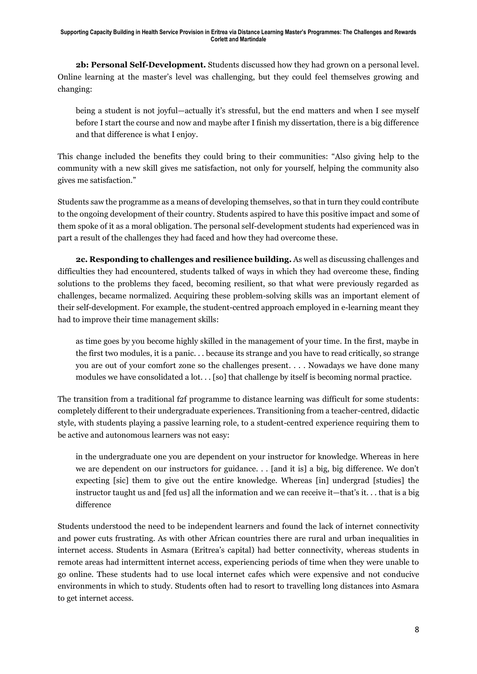**2b: Personal Self-Development.** Students discussed how they had grown on a personal level. Online learning at the master's level was challenging, but they could feel themselves growing and changing:

being a student is not joyful—actually it's stressful, but the end matters and when I see myself before I start the course and now and maybe after I finish my dissertation, there is a big difference and that difference is what I enjoy.

This change included the benefits they could bring to their communities: "Also giving help to the community with a new skill gives me satisfaction, not only for yourself, helping the community also gives me satisfaction."

Students saw the programme as a means of developing themselves, so that in turn they could contribute to the ongoing development of their country. Students aspired to have this positive impact and some of them spoke of it as a moral obligation. The personal self-development students had experienced was in part a result of the challenges they had faced and how they had overcome these.

**2c. Responding to challenges and resilience building.** As well as discussing challenges and difficulties they had encountered, students talked of ways in which they had overcome these, finding solutions to the problems they faced, becoming resilient, so that what were previously regarded as challenges, became normalized. Acquiring these problem-solving skills was an important element of their self-development. For example, the student-centred approach employed in e-learning meant they had to improve their time management skills:

as time goes by you become highly skilled in the management of your time. In the first, maybe in the first two modules, it is a panic. . . because its strange and you have to read critically, so strange you are out of your comfort zone so the challenges present. . . . Nowadays we have done many modules we have consolidated a lot. . . [so] that challenge by itself is becoming normal practice.

The transition from a traditional f2f programme to distance learning was difficult for some students: completely different to their undergraduate experiences. Transitioning from a teacher-centred, didactic style, with students playing a passive learning role, to a student-centred experience requiring them to be active and autonomous learners was not easy:

in the undergraduate one you are dependent on your instructor for knowledge. Whereas in here we are dependent on our instructors for guidance. . . [and it is] a big, big difference. We don't expecting [sic] them to give out the entire knowledge. Whereas [in] undergrad [studies] the instructor taught us and [fed us] all the information and we can receive it—that's it. . . that is a big difference

Students understood the need to be independent learners and found the lack of internet connectivity and power cuts frustrating. As with other African countries there are rural and urban inequalities in internet access. Students in Asmara (Eritrea's capital) had better connectivity, whereas students in remote areas had intermittent internet access, experiencing periods of time when they were unable to go online. These students had to use local internet cafes which were expensive and not conducive environments in which to study. Students often had to resort to travelling long distances into Asmara to get internet access.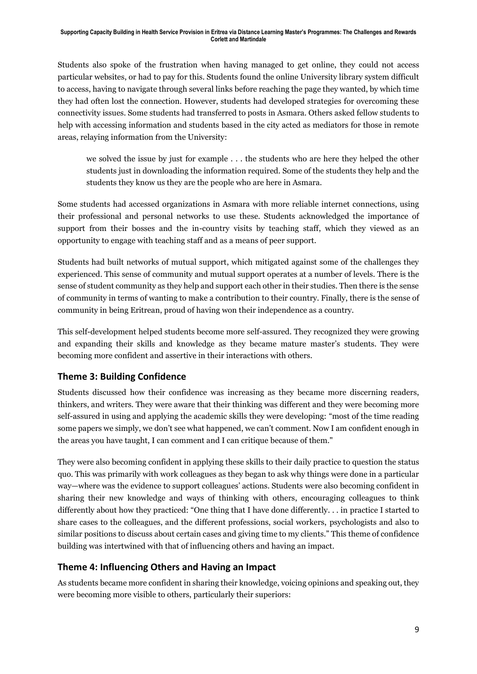Students also spoke of the frustration when having managed to get online, they could not access particular websites, or had to pay for this. Students found the online University library system difficult to access, having to navigate through several links before reaching the page they wanted, by which time they had often lost the connection. However, students had developed strategies for overcoming these connectivity issues. Some students had transferred to posts in Asmara. Others asked fellow students to help with accessing information and students based in the city acted as mediators for those in remote areas, relaying information from the University:

we solved the issue by just for example . . . the students who are here they helped the other students just in downloading the information required. Some of the students they help and the students they know us they are the people who are here in Asmara.

Some students had accessed organizations in Asmara with more reliable internet connections, using their professional and personal networks to use these. Students acknowledged the importance of support from their bosses and the in-country visits by teaching staff, which they viewed as an opportunity to engage with teaching staff and as a means of peer support.

Students had built networks of mutual support, which mitigated against some of the challenges they experienced. This sense of community and mutual support operates at a number of levels. There is the sense of student community as they help and support each other in their studies. Then there is the sense of community in terms of wanting to make a contribution to their country. Finally, there is the sense of community in being Eritrean, proud of having won their independence as a country.

This self-development helped students become more self-assured. They recognized they were growing and expanding their skills and knowledge as they became mature master's students. They were becoming more confident and assertive in their interactions with others.

#### **Theme 3: Building Confidence**

Students discussed how their confidence was increasing as they became more discerning readers, thinkers, and writers. They were aware that their thinking was different and they were becoming more self-assured in using and applying the academic skills they were developing: "most of the time reading some papers we simply, we don't see what happened, we can't comment. Now I am confident enough in the areas you have taught, I can comment and I can critique because of them."

They were also becoming confident in applying these skills to their daily practice to question the status quo. This was primarily with work colleagues as they began to ask why things were done in a particular way—where was the evidence to support colleagues' actions. Students were also becoming confident in sharing their new knowledge and ways of thinking with others, encouraging colleagues to think differently about how they practiced: "One thing that I have done differently. . . in practice I started to share cases to the colleagues, and the different professions, social workers, psychologists and also to similar positions to discuss about certain cases and giving time to my clients." This theme of confidence building was intertwined with that of influencing others and having an impact.

### **Theme 4: Influencing Others and Having an Impact**

As students became more confident in sharing their knowledge, voicing opinions and speaking out, they were becoming more visible to others, particularly their superiors: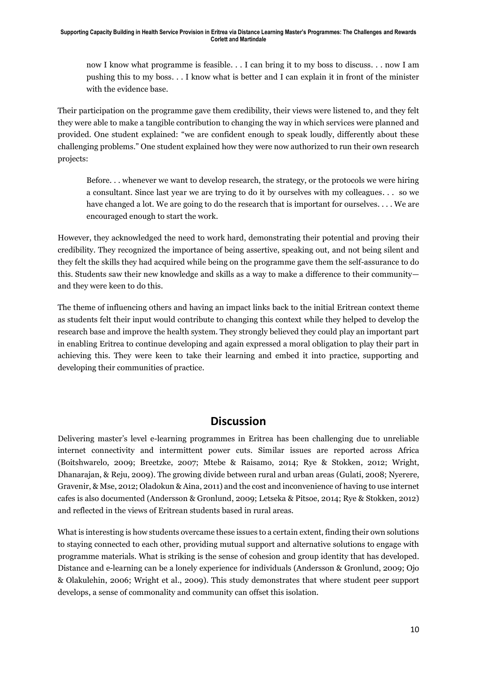now I know what programme is feasible. . . I can bring it to my boss to discuss. . . now I am pushing this to my boss. . . I know what is better and I can explain it in front of the minister with the evidence base.

Their participation on the programme gave them credibility, their views were listened to, and they felt they were able to make a tangible contribution to changing the way in which services were planned and provided. One student explained: "we are confident enough to speak loudly, differently about these challenging problems." One student explained how they were now authorized to run their own research projects:

Before. . . whenever we want to develop research, the strategy, or the protocols we were hiring a consultant. Since last year we are trying to do it by ourselves with my colleagues. . . so we have changed a lot. We are going to do the research that is important for ourselves. . . . We are encouraged enough to start the work.

However, they acknowledged the need to work hard, demonstrating their potential and proving their credibility. They recognized the importance of being assertive, speaking out, and not being silent and they felt the skills they had acquired while being on the programme gave them the self-assurance to do this. Students saw their new knowledge and skills as a way to make a difference to their community and they were keen to do this.

The theme of influencing others and having an impact links back to the initial Eritrean context theme as students felt their input would contribute to changing this context while they helped to develop the research base and improve the health system. They strongly believed they could play an important part in enabling Eritrea to continue developing and again expressed a moral obligation to play their part in achieving this. They were keen to take their learning and embed it into practice, supporting and developing their communities of practice.

## **Discussion**

Delivering master's level e-learning programmes in Eritrea has been challenging due to unreliable internet connectivity and intermittent power cuts. Similar issues are reported across Africa (Boitshwarelo, 2009; Breetzke, 2007; Mtebe & Raisamo, 2014; Rye & Stokken, 2012; Wright, Dhanarajan, & Reju, 2009). The growing divide between rural and urban areas (Gulati, 2008; Nyerere, Gravenir, & Mse, 2012; Oladokun & Aina, 2011) and the cost and inconvenience of having to use internet cafes is also documented (Andersson & Gronlund, 2009; Letseka & Pitsoe, 2014; Rye & Stokken, 2012) and reflected in the views of Eritrean students based in rural areas.

What is interesting is how students overcame these issues to a certain extent, finding their own solutions to staying connected to each other, providing mutual support and alternative solutions to engage with programme materials. What is striking is the sense of cohesion and group identity that has developed. Distance and e-learning can be a lonely experience for individuals (Andersson & Gronlund, 2009; Ojo & Olakulehin, 2006; Wright et al., 2009). This study demonstrates that where student peer support develops, a sense of commonality and community can offset this isolation.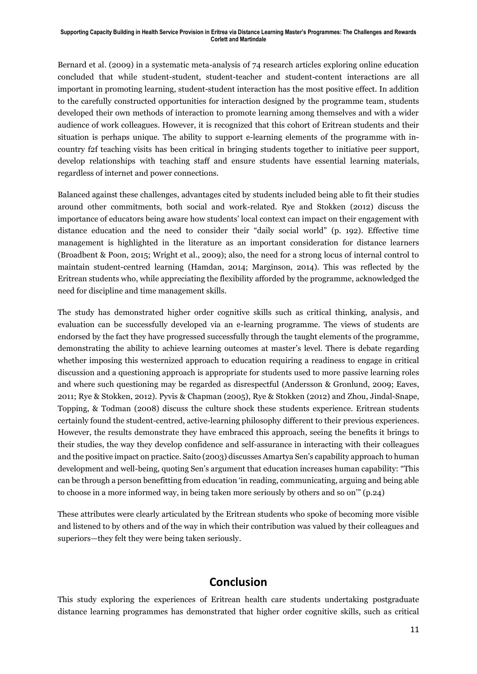**Supporting Capacity Building in Health Service Provision in Eritrea via Distance Learning Master's Programmes: The Challenges and Rewards Corlett and Martindale**

Bernard et al. (2009) in a systematic meta-analysis of 74 research articles exploring online education concluded that while student-student, student-teacher and student-content interactions are all important in promoting learning, student-student interaction has the most positive effect. In addition to the carefully constructed opportunities for interaction designed by the programme team, students developed their own methods of interaction to promote learning among themselves and with a wider audience of work colleagues. However, it is recognized that this cohort of Eritrean students and their situation is perhaps unique. The ability to support e-learning elements of the programme with incountry f2f teaching visits has been critical in bringing students together to initiative peer support, develop relationships with teaching staff and ensure students have essential learning materials, regardless of internet and power connections.

Balanced against these challenges, advantages cited by students included being able to fit their studies around other commitments, both social and work-related. Rye and Stokken (2012) discuss the importance of educators being aware how students' local context can impact on their engagement with distance education and the need to consider their "daily social world" (p. 192). Effective time management is highlighted in the literature as an important consideration for distance learners (Broadbent & Poon, 2015; Wright et al., 2009); also, the need for a strong locus of internal control to maintain student-centred learning (Hamdan, 2014; Marginson, 2014). This was reflected by the Eritrean students who, while appreciating the flexibility afforded by the programme, acknowledged the need for discipline and time management skills.

The study has demonstrated higher order cognitive skills such as critical thinking, analysis, and evaluation can be successfully developed via an e-learning programme. The views of students are endorsed by the fact they have progressed successfully through the taught elements of the programme, demonstrating the ability to achieve learning outcomes at master's level. There is debate regarding whether imposing this westernized approach to education requiring a readiness to engage in critical discussion and a questioning approach is appropriate for students used to more passive learning roles and where such questioning may be regarded as disrespectful (Andersson & Gronlund, 2009; Eaves, 2011; Rye & Stokken, 2012). Pyvis & Chapman (2005), Rye & Stokken (2012) and Zhou, Jindal-Snape, Topping, & Todman (2008) discuss the culture shock these students experience. Eritrean students certainly found the student-centred, active-learning philosophy different to their previous experiences. However, the results demonstrate they have embraced this approach, seeing the benefits it brings to their studies, the way they develop confidence and self-assurance in interacting with their colleagues and the positive impact on practice. Saito (2003) discusses Amartya Sen's capability approach to human development and well-being, quoting Sen's argument that education increases human capability: "This can be through a person benefitting from education 'in reading, communicating, arguing and being able to choose in a more informed way, in being taken more seriously by others and so on'" (p.24)

These attributes were clearly articulated by the Eritrean students who spoke of becoming more visible and listened to by others and of the way in which their contribution was valued by their colleagues and superiors—they felt they were being taken seriously.

#### **Conclusion**

This study exploring the experiences of Eritrean health care students undertaking postgraduate distance learning programmes has demonstrated that higher order cognitive skills, such as critical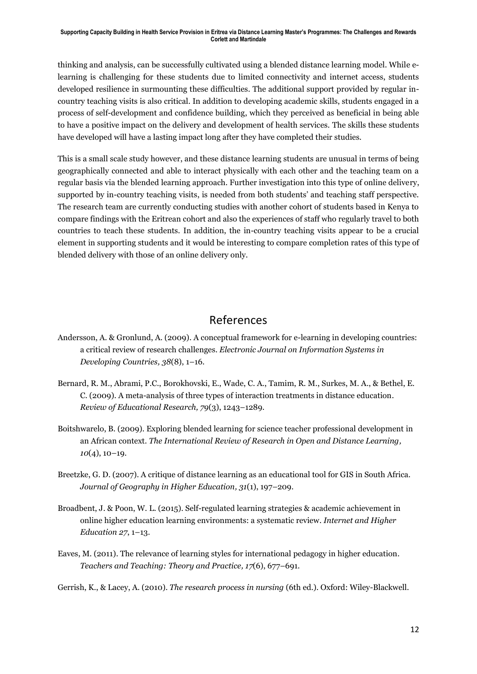thinking and analysis, can be successfully cultivated using a blended distance learning model. While elearning is challenging for these students due to limited connectivity and internet access, students developed resilience in surmounting these difficulties. The additional support provided by regular incountry teaching visits is also critical. In addition to developing academic skills, students engaged in a process of self-development and confidence building, which they perceived as beneficial in being able to have a positive impact on the delivery and development of health services. The skills these students have developed will have a lasting impact long after they have completed their studies.

This is a small scale study however, and these distance learning students are unusual in terms of being geographically connected and able to interact physically with each other and the teaching team on a regular basis via the blended learning approach. Further investigation into this type of online delivery, supported by in-country teaching visits, is needed from both students' and teaching staff perspective. The research team are currently conducting studies with another cohort of students based in Kenya to compare findings with the Eritrean cohort and also the experiences of staff who regularly travel to both countries to teach these students. In addition, the in-country teaching visits appear to be a crucial element in supporting students and it would be interesting to compare completion rates of this type of blended delivery with those of an online delivery only.

## References

- Andersson, A. & Gronlund, A. (2009). A conceptual framework for e-learning in developing countries: a critical review of research challenges. *Electronic Journal on Information Systems in Developing Countries, 38*(8), 1–16.
- Bernard, R. M., Abrami, P.C., Borokhovski, E., Wade, C. A., Tamim, R. M., Surkes, M. A., & Bethel, E. C. (2009). A meta-analysis of three types of interaction treatments in distance education. *Review of Educational Research, 79*(3), 1243–1289.
- Boitshwarelo, B. (2009). Exploring blended learning for science teacher professional development in an African context. *The International Review of Research in Open and Distance Learning, 10*(4), 10–19.
- Breetzke, G. D. (2007). A critique of distance learning as an educational tool for GIS in South Africa. *Journal of Geography in Higher Education, 31*(1), 197–209.
- Broadbent, J. & Poon, W. L. (2015). Self-regulated learning strategies & academic achievement in online higher education learning environments: a systematic review. *Internet and Higher Education 27*, 1–13.
- Eaves, M. (2011). The relevance of learning styles for international pedagogy in higher education. *Teachers and Teaching: Theory and Practice, 17*(6), 677–691.

Gerrish, K., & Lacey, A. (2010). *The research process in nursing* (6th ed.). Oxford: Wiley-Blackwell.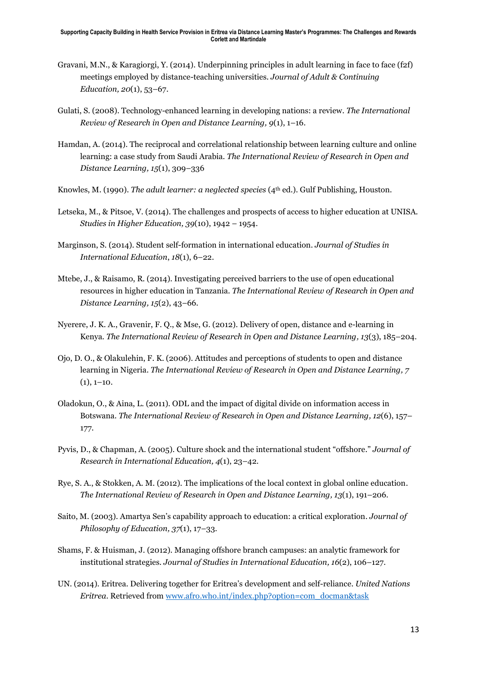- Gravani, M.N., & Karagiorgi, Y. (2014). Underpinning principles in adult learning in face to face (f2f) meetings employed by distance-teaching universities*. Journal of Adult & Continuing Education, 20*(1), 53–67.
- Gulati, S. (2008). Technology-enhanced learning in developing nations: a review. *The International Review of Research in Open and Distance Learning, 9*(1), 1–16.
- Hamdan, A. (2014). The reciprocal and correlational relationship between learning culture and online learning: a case study from Saudi Arabia. *The International Review of Research in Open and Distance Learning, 15*(1), 309–336
- Knowles, M. (1990). *The adult learner: a neglected species* (4th ed.). Gulf Publishing, Houston.
- Letseka, M., & Pitsoe, V. (2014). The challenges and prospects of access to higher education at UNISA. *Studies in Higher Education, 39*(10), 1942 – 1954.
- Marginson, S. (2014). Student self-formation in international education. *Journal of Studies in International Education*, *18*(1), 6–22.
- Mtebe, J., & Raisamo, R. (2014). Investigating perceived barriers to the use of open educational resources in higher education in Tanzania. *The International Review of Research in Open and Distance Learning, 15*(2), 43–66.
- Nyerere, J. K. A., Gravenir, F. Q., & Mse, G. (2012). Delivery of open, distance and e-learning in Kenya. *The International Review of Research in Open and Distance Learning, 13*(3), 185–204.
- Ojo, D. O., & Olakulehin, F. K. (2006). Attitudes and perceptions of students to open and distance learning in Nigeria. *The International Review of Research in Open and Distance Learning, 7*  $(1), 1-10.$
- Oladokun, O., & Aina, L. (2011). ODL and the impact of digital divide on information access in Botswana. *The International Review of Research in Open and Distance Learning, 12*(6), 157– 177.
- Pyvis, D., & Chapman, A. (2005). Culture shock and the international student "offshore." *Journal of Research in International Education, 4*(1), 23–42.
- Rye, S. A., & Stokken, A. M. (2012). The implications of the local context in global online education. *The International Review of Research in Open and Distance Learning, 13*(1), 191–206.
- Saito, M. (2003). Amartya Sen's capability approach to education: a critical exploration. *Journal of Philosophy of Education, 37*(1), 17–33.
- Shams, F. & Huisman, J. (2012). Managing offshore branch campuses: an analytic framework for institutional strategies. *Journal of Studies in International Education, 16*(2), 106–127.
- UN. (2014). Eritrea. Delivering together for Eritrea's development and self-reliance. *United Nations Eritrea*. Retrieved from [www.afro.who.int/index.php?option=com\\_docman&task](http://www.afro.who.int/index.php?option=com_docman&task)